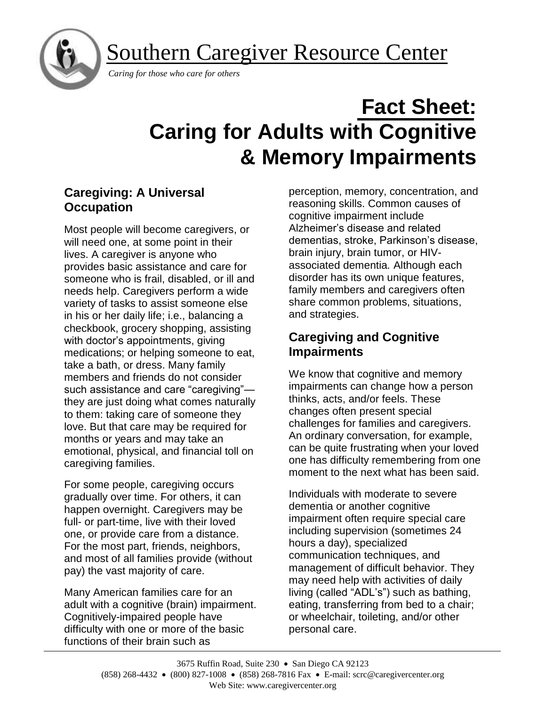Southern Caregiver Resource Center



*Caring for those who care for others*

# **Fact Sheet: Caring for Adults with Cognitive & Memory Impairments**

## **Caregiving: A Universal Occupation**

Most people will become caregivers, or will need one, at some point in their lives. A caregiver is anyone who provides basic assistance and care for someone who is frail, disabled, or ill and needs help. Caregivers perform a wide variety of tasks to assist someone else in his or her daily life; i.e., balancing a checkbook, grocery shopping, assisting with doctor's appointments, giving medications; or helping someone to eat, take a bath, or dress. Many family members and friends do not consider such assistance and care "caregiving" they are just doing what comes naturally to them: taking care of someone they love. But that care may be required for months or years and may take an emotional, physical, and financial toll on caregiving families.

For some people, caregiving occurs gradually over time. For others, it can happen overnight. Caregivers may be full- or part-time, live with their loved one, or provide care from a distance. For the most part, friends, neighbors, and most of all families provide (without pay) the vast majority of care.

Many American families care for an adult with a cognitive (brain) impairment. Cognitively-impaired people have difficulty with one or more of the basic functions of their brain such as

perception, memory, concentration, and reasoning skills. Common causes of cognitive impairment include Alzheimer's disease and related dementias, stroke, Parkinson's disease, brain injury, brain tumor, or HIVassociated dementia*.* Although each disorder has its own unique features, family members and caregivers often share common problems, situations, and strategies.

# **Caregiving and Cognitive Impairments**

We know that cognitive and memory impairments can change how a person thinks, acts, and/or feels. These changes often present special challenges for families and caregivers. An ordinary conversation, for example, can be quite frustrating when your loved one has difficulty remembering from one moment to the next what has been said.

Individuals with moderate to severe dementia or another cognitive impairment often require special care including supervision (sometimes 24 hours a day), specialized communication techniques, and management of difficult behavior. They may need help with activities of daily living (called "ADL's") such as bathing, eating, transferring from bed to a chair; or wheelchair, toileting, and/or other personal care.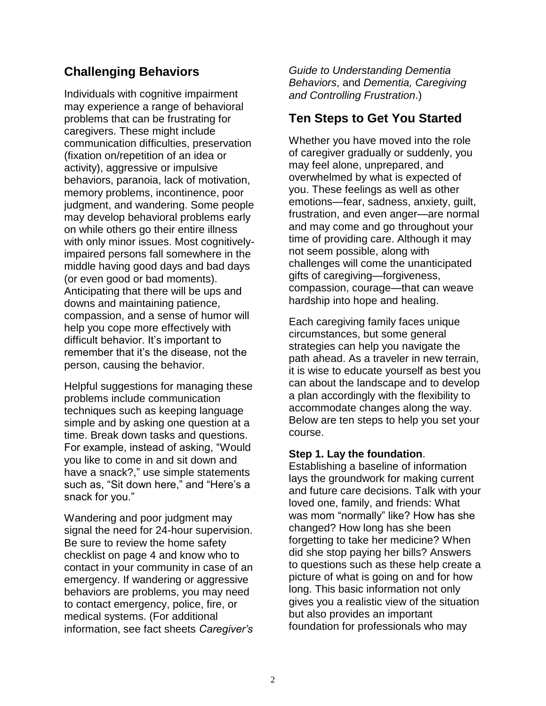## **Challenging Behaviors**

Individuals with cognitive impairment may experience a range of behavioral problems that can be frustrating for caregivers. These might include communication difficulties, preservation (fixation on/repetition of an idea or activity), aggressive or impulsive behaviors, paranoia, lack of motivation, memory problems, incontinence, poor judgment, and wandering. Some people may develop behavioral problems early on while others go their entire illness with only minor issues. Most cognitivelyimpaired persons fall somewhere in the middle having good days and bad days (or even good or bad moments). Anticipating that there will be ups and downs and maintaining patience, compassion, and a sense of humor will help you cope more effectively with difficult behavior. It's important to remember that it's the disease, not the person, causing the behavior.

Helpful suggestions for managing these problems include communication techniques such as keeping language simple and by asking one question at a time. Break down tasks and questions. For example, instead of asking, "Would you like to come in and sit down and have a snack?," use simple statements such as, "Sit down here," and "Here's a snack for you."

Wandering and poor judgment may signal the need for 24-hour supervision. Be sure to review the home safety checklist on page 4 and know who to contact in your community in case of an emergency. If wandering or aggressive behaviors are problems, you may need to contact emergency, police, fire, or medical systems. (For additional information, see fact sheets *Caregiver's*  *Guide to Understanding Dementia Behaviors*, and *Dementia, Caregiving and Controlling Frustration*.)

## **Ten Steps to Get You Started**

Whether you have moved into the role of caregiver gradually or suddenly, you may feel alone, unprepared, and overwhelmed by what is expected of you. These feelings as well as other emotions—fear, sadness, anxiety, guilt, frustration, and even anger—are normal and may come and go throughout your time of providing care. Although it may not seem possible, along with challenges will come the unanticipated gifts of caregiving—forgiveness, compassion, courage—that can weave hardship into hope and healing.

Each caregiving family faces unique circumstances, but some general strategies can help you navigate the path ahead. As a traveler in new terrain, it is wise to educate yourself as best you can about the landscape and to develop a plan accordingly with the flexibility to accommodate changes along the way. Below are ten steps to help you set your course.

#### **Step 1. Lay the foundation**.

Establishing a baseline of information lays the groundwork for making current and future care decisions. Talk with your loved one, family, and friends: What was mom "normally" like? How has she changed? How long has she been forgetting to take her medicine? When did she stop paying her bills? Answers to questions such as these help create a picture of what is going on and for how long. This basic information not only gives you a realistic view of the situation but also provides an important foundation for professionals who may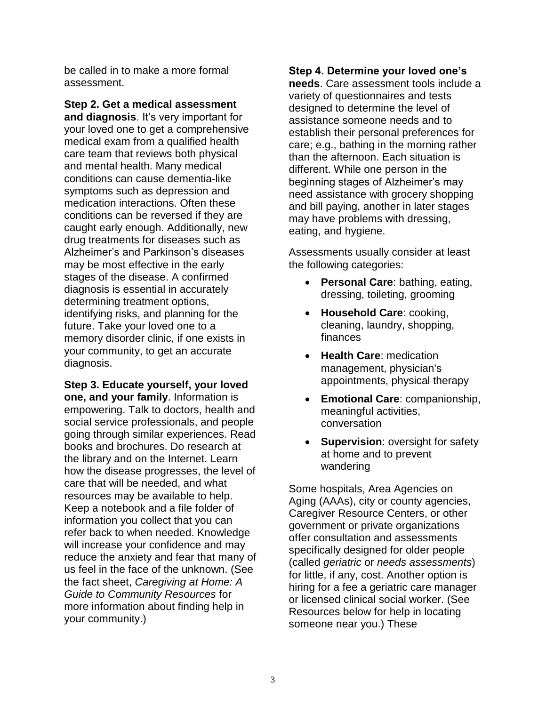be called in to make a more formal assessment.

**Step 2. Get a medical assessment and diagnosis**. It's very important for your loved one to get a comprehensive medical exam from a qualified health care team that reviews both physical and mental health. Many medical conditions can cause dementia-like symptoms such as depression and medication interactions. Often these conditions can be reversed if they are caught early enough. Additionally, new drug treatments for diseases such as Alzheimer's and Parkinson's diseases may be most effective in the early stages of the disease. A confirmed diagnosis is essential in accurately determining treatment options, identifying risks, and planning for the future. Take your loved one to a memory disorder clinic, if one exists in your community, to get an accurate diagnosis.

**Step 3. Educate yourself, your loved one, and your family**. Information is empowering. Talk to doctors, health and social service professionals, and people going through similar experiences. Read books and brochures. Do research at the library and on the Internet. Learn how the disease progresses, the level of care that will be needed, and what resources may be available to help. Keep a notebook and a file folder of information you collect that you can refer back to when needed. Knowledge will increase your confidence and may reduce the anxiety and fear that many of us feel in the face of the unknown. (See the fact sheet, *Caregiving at Home: A Guide to Community Resources* for more information about finding help in your community.)

#### **Step 4. Determine your loved one's**

**needs**. Care assessment tools include a variety of questionnaires and tests designed to determine the level of assistance someone needs and to establish their personal preferences for care; e.g., bathing in the morning rather than the afternoon. Each situation is different. While one person in the beginning stages of Alzheimer's may need assistance with grocery shopping and bill paying, another in later stages may have problems with dressing, eating, and hygiene.

Assessments usually consider at least the following categories:

- **Personal Care**: bathing, eating, dressing, toileting, grooming
- **Household Care**: cooking, cleaning, laundry, shopping, finances
- **Health Care**: medication management, physician's appointments, physical therapy
- **Emotional Care**: companionship, meaningful activities, conversation
- **Supervision: oversight for safety** at home and to prevent wandering

Some hospitals, Area Agencies on Aging (AAAs), city or county agencies, Caregiver Resource Centers, or other government or private organizations offer consultation and assessments specifically designed for older people (called *geriatric* or *needs assessments*) for little, if any, cost. Another option is hiring for a fee a geriatric care manager or licensed clinical social worker. (See Resources below for help in locating someone near you.) These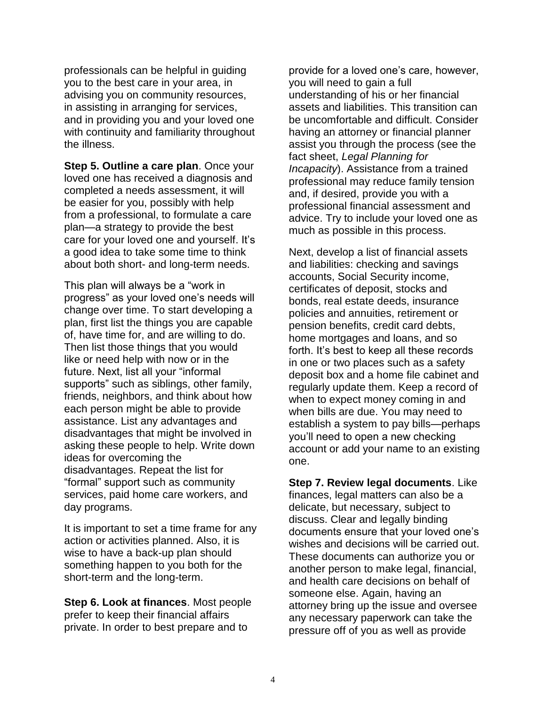professionals can be helpful in guiding you to the best care in your area, in advising you on community resources, in assisting in arranging for services, and in providing you and your loved one with continuity and familiarity throughout the illness.

**Step 5. Outline a care plan**. Once your loved one has received a diagnosis and completed a needs assessment, it will be easier for you, possibly with help from a professional, to formulate a care plan—a strategy to provide the best care for your loved one and yourself. It's a good idea to take some time to think about both short- and long-term needs.

This plan will always be a "work in progress" as your loved one's needs will change over time. To start developing a plan, first list the things you are capable of, have time for, and are willing to do. Then list those things that you would like or need help with now or in the future. Next, list all your "informal supports" such as siblings, other family, friends, neighbors, and think about how each person might be able to provide assistance. List any advantages and disadvantages that might be involved in asking these people to help. Write down ideas for overcoming the disadvantages. Repeat the list for "formal" support such as community services, paid home care workers, and day programs.

It is important to set a time frame for any action or activities planned. Also, it is wise to have a back-up plan should something happen to you both for the short-term and the long-term.

**Step 6. Look at finances**. Most people prefer to keep their financial affairs private. In order to best prepare and to

provide for a loved one's care, however, you will need to gain a full understanding of his or her financial assets and liabilities. This transition can be uncomfortable and difficult. Consider having an attorney or financial planner assist you through the process (see the fact sheet, *Legal Planning for Incapacity*). Assistance from a trained professional may reduce family tension and, if desired, provide you with a professional financial assessment and advice. Try to include your loved one as much as possible in this process.

Next, develop a list of financial assets and liabilities: checking and savings accounts, Social Security income, certificates of deposit, stocks and bonds, real estate deeds, insurance policies and annuities, retirement or pension benefits, credit card debts, home mortgages and loans, and so forth. It's best to keep all these records in one or two places such as a safety deposit box and a home file cabinet and regularly update them. Keep a record of when to expect money coming in and when bills are due. You may need to establish a system to pay bills—perhaps you'll need to open a new checking account or add your name to an existing one.

**Step 7. Review legal documents**. Like finances, legal matters can also be a delicate, but necessary, subject to discuss. Clear and legally binding documents ensure that your loved one's wishes and decisions will be carried out. These documents can authorize you or another person to make legal, financial, and health care decisions on behalf of someone else. Again, having an attorney bring up the issue and oversee any necessary paperwork can take the pressure off of you as well as provide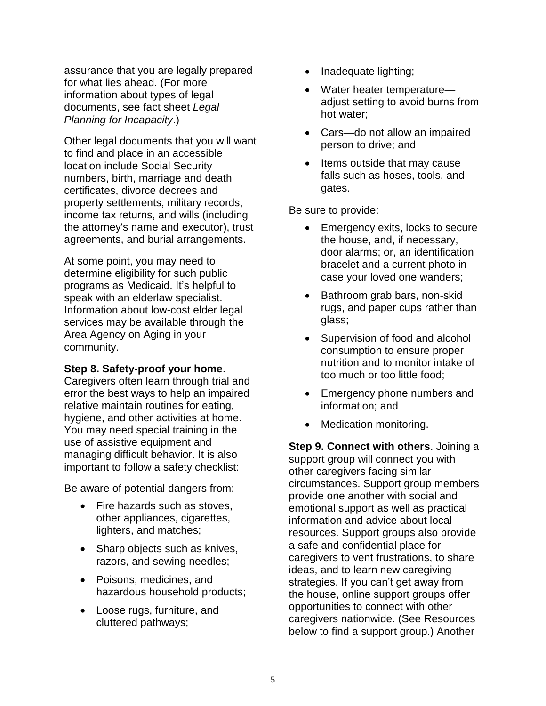assurance that you are legally prepared for what lies ahead. (For more information about types of legal documents, see fact sheet *Legal Planning for Incapacity*.)

Other legal documents that you will want to find and place in an accessible location include Social Security numbers, birth, marriage and death certificates, divorce decrees and property settlements, military records, income tax returns, and wills (including the attorney's name and executor), trust agreements, and burial arrangements.

At some point, you may need to determine eligibility for such public programs as Medicaid. It's helpful to speak with an elderlaw specialist. Information about low-cost elder legal services may be available through the Area Agency on Aging in your community.

#### **Step 8. Safety-proof your home**.

Caregivers often learn through trial and error the best ways to help an impaired relative maintain routines for eating, hygiene, and other activities at home. You may need special training in the use of assistive equipment and managing difficult behavior. It is also important to follow a safety checklist:

Be aware of potential dangers from:

- Fire hazards such as stoves. other appliances, cigarettes, lighters, and matches;
- Sharp objects such as knives, razors, and sewing needles;
- Poisons, medicines, and hazardous household products;
- Loose rugs, furniture, and cluttered pathways;
- Inadequate lighting;
- Water heater temperature adjust setting to avoid burns from hot water;
- Cars—do not allow an impaired person to drive; and
- Items outside that may cause falls such as hoses, tools, and gates.

Be sure to provide:

- Emergency exits, locks to secure the house, and, if necessary, door alarms; or, an identification bracelet and a current photo in case your loved one wanders;
- Bathroom grab bars, non-skid rugs, and paper cups rather than glass;
- Supervision of food and alcohol consumption to ensure proper nutrition and to monitor intake of too much or too little food;
- Emergency phone numbers and information; and
- Medication monitoring.

**Step 9. Connect with others**. Joining a support group will connect you with other caregivers facing similar circumstances. Support group members provide one another with social and emotional support as well as practical information and advice about local resources. Support groups also provide a safe and confidential place for caregivers to vent frustrations, to share ideas, and to learn new caregiving strategies. If you can't get away from the house, online support groups offer opportunities to connect with other caregivers nationwide. (See Resources below to find a support group.) Another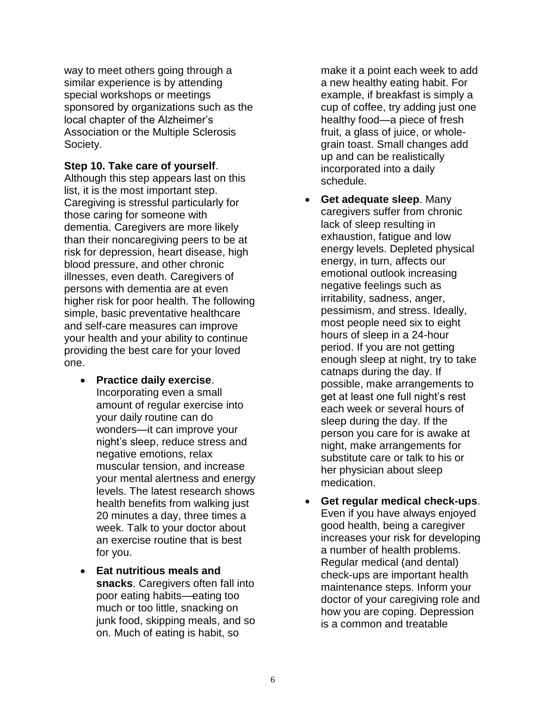way to meet others going through a similar experience is by attending special workshops or meetings sponsored by organizations such as the local chapter of the Alzheimer's Association or the Multiple Sclerosis Society.

**Step 10. Take care of yourself**.

Although this step appears last on this list, it is the most important step. Caregiving is stressful particularly for those caring for someone with dementia. Caregivers are more likely than their noncaregiving peers to be at risk for depression, heart disease, high blood pressure, and other chronic illnesses, even death. Caregivers of persons with dementia are at even higher risk for poor health. The following simple, basic preventative healthcare and self-care measures can improve your health and your ability to continue providing the best care for your loved one.

- **Practice daily exercise**. Incorporating even a small amount of regular exercise into your daily routine can do wonders—it can improve your night's sleep, reduce stress and negative emotions, relax muscular tension, and increase your mental alertness and energy levels. The latest research shows health benefits from walking just 20 minutes a day, three times a week. Talk to your doctor about an exercise routine that is best for you.
- **Eat nutritious meals and snacks**. Caregivers often fall into poor eating habits—eating too much or too little, snacking on junk food, skipping meals, and so on. Much of eating is habit, so

make it a point each week to add a new healthy eating habit. For example, if breakfast is simply a cup of coffee, try adding just one healthy food—a piece of fresh fruit, a glass of juice, or wholegrain toast. Small changes add up and can be realistically incorporated into a daily schedule.

- **Get adequate sleep**. Many caregivers suffer from chronic lack of sleep resulting in exhaustion, fatigue and low energy levels. Depleted physical energy, in turn, affects our emotional outlook increasing negative feelings such as irritability, sadness, anger, pessimism, and stress. Ideally, most people need six to eight hours of sleep in a 24-hour period. If you are not getting enough sleep at night, try to take catnaps during the day. If possible, make arrangements to get at least one full night's rest each week or several hours of sleep during the day. If the person you care for is awake at night, make arrangements for substitute care or talk to his or her physician about sleep medication.
- **Get regular medical check-ups**. Even if you have always enjoyed good health, being a caregiver increases your risk for developing a number of health problems. Regular medical (and dental) check-ups are important health maintenance steps. Inform your doctor of your caregiving role and how you are coping. Depression is a common and treatable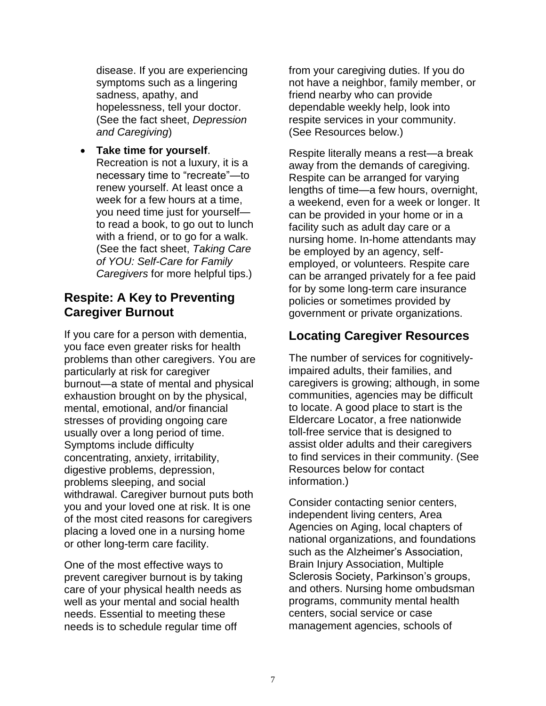disease. If you are experiencing symptoms such as a lingering sadness, apathy, and hopelessness, tell your doctor. (See the fact sheet, *Depression and Caregiving*)

• **Take time for yourself**. Recreation is not a luxury, it is a necessary time to "recreate"—to renew yourself. At least once a week for a few hours at a time, you need time just for yourself to read a book, to go out to lunch with a friend, or to go for a walk. (See the fact sheet, *Taking Care of YOU: Self-Care for Family Caregivers* for more helpful tips.)

## **Respite: A Key to Preventing Caregiver Burnout**

If you care for a person with dementia, you face even greater risks for health problems than other caregivers. You are particularly at risk for caregiver burnout—a state of mental and physical exhaustion brought on by the physical, mental, emotional, and/or financial stresses of providing ongoing care usually over a long period of time. Symptoms include difficulty concentrating, anxiety, irritability, digestive problems, depression, problems sleeping, and social withdrawal. Caregiver burnout puts both you and your loved one at risk. It is one of the most cited reasons for caregivers placing a loved one in a nursing home or other long-term care facility.

One of the most effective ways to prevent caregiver burnout is by taking care of your physical health needs as well as your mental and social health needs. Essential to meeting these needs is to schedule regular time off

from your caregiving duties. If you do not have a neighbor, family member, or friend nearby who can provide dependable weekly help, look into respite services in your community. (See Resources below.)

Respite literally means a rest—a break away from the demands of caregiving. Respite can be arranged for varying lengths of time—a few hours, overnight, a weekend, even for a week or longer. It can be provided in your home or in a facility such as adult day care or a nursing home. In-home attendants may be employed by an agency, selfemployed, or volunteers. Respite care can be arranged privately for a fee paid for by some long-term care insurance policies or sometimes provided by government or private organizations.

## **Locating Caregiver Resources**

The number of services for cognitivelyimpaired adults, their families, and caregivers is growing; although, in some communities, agencies may be difficult to locate. A good place to start is the Eldercare Locator, a free nationwide toll-free service that is designed to assist older adults and their caregivers to find services in their community. (See Resources below for contact information.)

Consider contacting senior centers, independent living centers, Area Agencies on Aging, local chapters of national organizations, and foundations such as the Alzheimer's Association, Brain Injury Association, Multiple Sclerosis Society, Parkinson's groups, and others. Nursing home ombudsman programs, community mental health centers, social service or case management agencies, schools of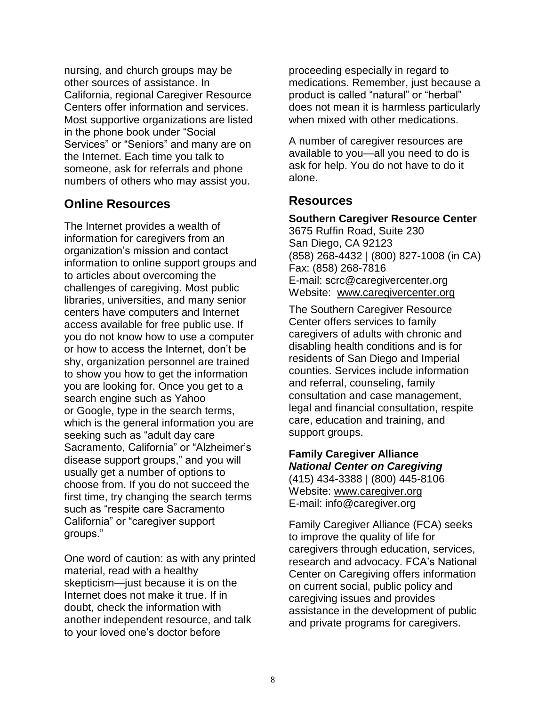nursing, and church groups may be other sources of assistance. In California, regional Caregiver Resource Centers offer information and services. Most supportive organizations are listed in the phone book under "Social Services" or "Seniors" and many are on the Internet. Each time you talk to someone, ask for referrals and phone numbers of others who may assist you.

#### **Online Resources**

The Internet provides a wealth of information for caregivers from an organization's mission and contact information to online support groups and to articles about overcoming the challenges of caregiving. Most public libraries, universities, and many senior centers have computers and Internet access available for free public use. If you do not know how to use a computer or how to access the Internet, don't be shy, organization personnel are trained to show you how to get the information you are looking for. Once you get to a search engine such as Yahoo or Google, type in the search terms, which is the general information you are seeking such as "adult day care Sacramento, California" or "Alzheimer's disease support groups," and you will usually get a number of options to choose from. If you do not succeed the first time, try changing the search terms such as "respite care Sacramento California" or "caregiver support groups."

One word of caution: as with any printed material, read with a healthy skepticism—just because it is on the Internet does not make it true. If in doubt, check the information with another independent resource, and talk to your loved one's doctor before

proceeding especially in regard to medications. Remember, just because a product is called "natural" or "herbal" does not mean it is harmless particularly when mixed with other medications.

A number of caregiver resources are available to you—all you need to do is ask for help. You do not have to do it alone.

### **Resources**

# **Southern Caregiver Resource Center**

3675 Ruffin Road, Suite 230 San Diego, CA 92123 (858) 268-4432 | (800) 827-1008 (in CA) Fax: (858) 268-7816 E-mail: scrc@caregivercenter.org Website: [www.caregivercenter.org](http://www.caregivercenter.org/)

The Southern Caregiver Resource Center offers services to family caregivers of adults with chronic and disabling health conditions and is for residents of San Diego and Imperial counties. Services include information and referral, counseling, family consultation and case management, legal and financial consultation, respite care, education and training, and support groups.

#### **Family Caregiver Alliance** *National Center on Caregiving* (415) 434-3388 | (800) 445-8106

Website: [www.caregiver.org](http://www.caregiver.org/) E-mail: info@caregiver.org

Family Caregiver Alliance (FCA) seeks to improve the quality of life for caregivers through education, services, research and advocacy. FCA's National Center on Caregiving offers information on current social, public policy and caregiving issues and provides assistance in the development of public and private programs for caregivers.